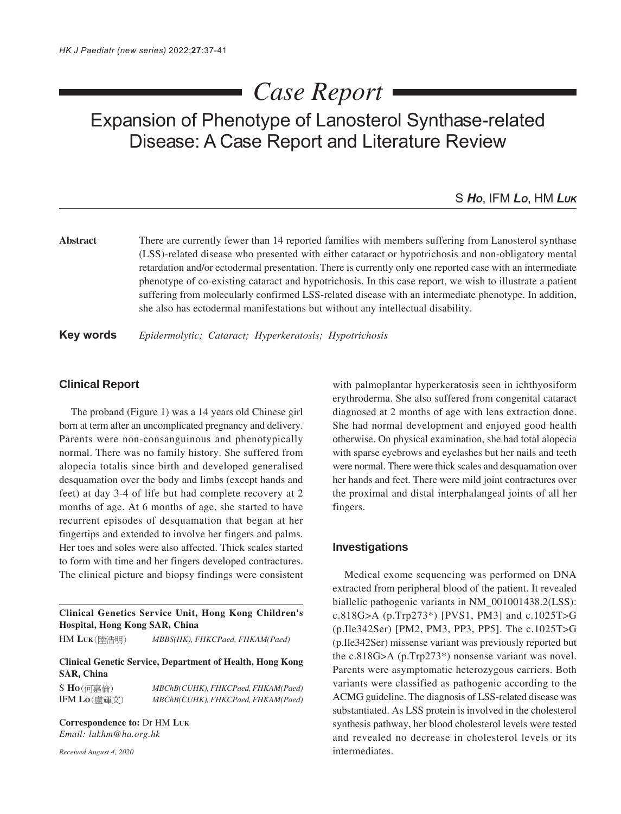# *Case Report*

Expansion of Phenotype of Lanosterol Synthase-related Disease: A Case Report and Literature Review

## S *HO*, IFM *LO*, HM *LUK*

Abstract There are currently fewer than 14 reported families with members suffering from Lanosterol synthase (LSS)-related disease who presented with either cataract or hypotrichosis and non-obligatory mental retardation and/or ectodermal presentation. There is currently only one reported case with an intermediate phenotype of co-existing cataract and hypotrichosis. In this case report, we wish to illustrate a patient suffering from molecularly confirmed LSS-related disease with an intermediate phenotype. In addition, she also has ectodermal manifestations but without any intellectual disability.

**Key words** *Epidermolytic; Cataract; Hyperkeratosis; Hypotrichosis*

#### **Clinical Report**

The proband (Figure 1) was a 14 years old Chinese girl born at term after an uncomplicated pregnancy and delivery. Parents were non-consanguinous and phenotypically normal. There was no family history. She suffered from alopecia totalis since birth and developed generalised desquamation over the body and limbs (except hands and feet) at day 3-4 of life but had complete recovery at 2 months of age. At 6 months of age, she started to have recurrent episodes of desquamation that began at her fingertips and extended to involve her fingers and palms. Her toes and soles were also affected. Thick scales started to form with time and her fingers developed contractures. The clinical picture and biopsy findings were consistent

**Clinical Genetics Service Unit, Hong Kong Children's Hospital, Hong Kong SAR, China**

HM **LUK** *MBBS(HK), FHKCPaed, FHKAM(Paed)*

## **Clinical Genetic Service, Department of Health, Hong Kong SAR, China**

S **HO** *MBChB(CUHK), FHKCPaed, FHKAM(Paed)*

IFM **LO** *MBChB(CUHK), FHKCPaed, FHKAM(Paed)*

**Correspondence to:** Dr HM **LUK** *Email: lukhm@ha.org.hk*

*Received August 4, 2020*

with palmoplantar hyperkeratosis seen in ichthyosiform erythroderma. She also suffered from congenital cataract diagnosed at 2 months of age with lens extraction done. She had normal development and enjoyed good health otherwise. On physical examination, she had total alopecia with sparse eyebrows and eyelashes but her nails and teeth were normal. There were thick scales and desquamation over her hands and feet. There were mild joint contractures over the proximal and distal interphalangeal joints of all her fingers.

## **Investigations**

Medical exome sequencing was performed on DNA extracted from peripheral blood of the patient. It revealed biallelic pathogenic variants in NM\_001001438.2(LSS): c.818G>A (p.Trp273\*) [PVS1, PM3] and c.1025T>G (p.Ile342Ser) [PM2, PM3, PP3, PP5]. The c.1025T>G (p.Ile342Ser) missense variant was previously reported but the c.818G>A (p.Trp273\*) nonsense variant was novel. Parents were asymptomatic heterozygous carriers. Both variants were classified as pathogenic according to the ACMG guideline. The diagnosis of LSS-related disease was substantiated. As LSS protein is involved in the cholesterol synthesis pathway, her blood cholesterol levels were tested and revealed no decrease in cholesterol levels or its intermediates.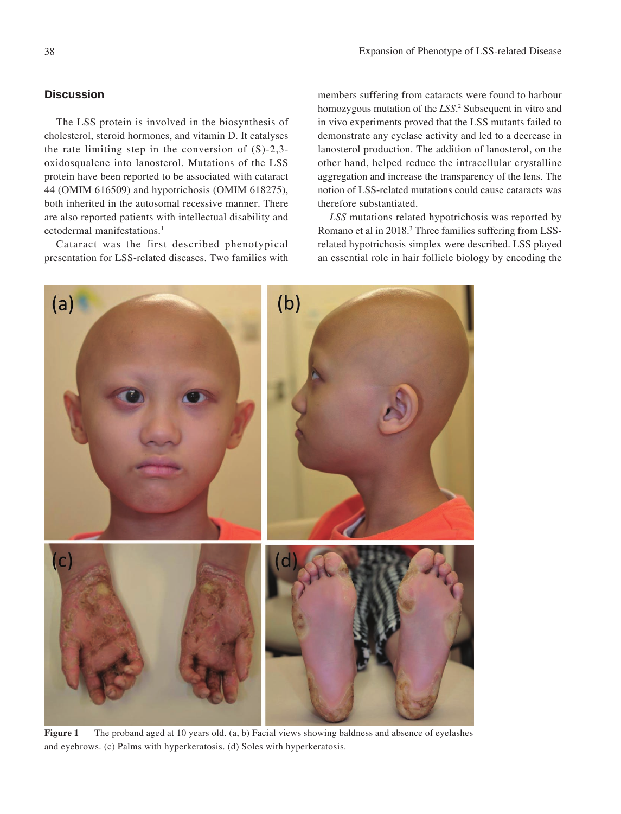## **Discussion**

The LSS protein is involved in the biosynthesis of cholesterol, steroid hormones, and vitamin D. It catalyses the rate limiting step in the conversion of (S)-2,3 oxidosqualene into lanosterol. Mutations of the LSS protein have been reported to be associated with cataract 44 (OMIM 616509) and hypotrichosis (OMIM 618275), both inherited in the autosomal recessive manner. There are also reported patients with intellectual disability and ectodermal manifestations.<sup>1</sup>

Cataract was the first described phenotypical presentation for LSS-related diseases. Two families with

members suffering from cataracts were found to harbour homozygous mutation of the *LSS*. 2 Subsequent in vitro and in vivo experiments proved that the LSS mutants failed to demonstrate any cyclase activity and led to a decrease in lanosterol production. The addition of lanosterol, on the other hand, helped reduce the intracellular crystalline aggregation and increase the transparency of the lens. The notion of LSS-related mutations could cause cataracts was therefore substantiated.

*LSS* mutations related hypotrichosis was reported by Romano et al in 2018.<sup>3</sup> Three families suffering from LSSrelated hypotrichosis simplex were described. LSS played an essential role in hair follicle biology by encoding the



**Figure 1** The proband aged at 10 years old. (a, b) Facial views showing baldness and absence of eyelashes and eyebrows. (c) Palms with hyperkeratosis. (d) Soles with hyperkeratosis.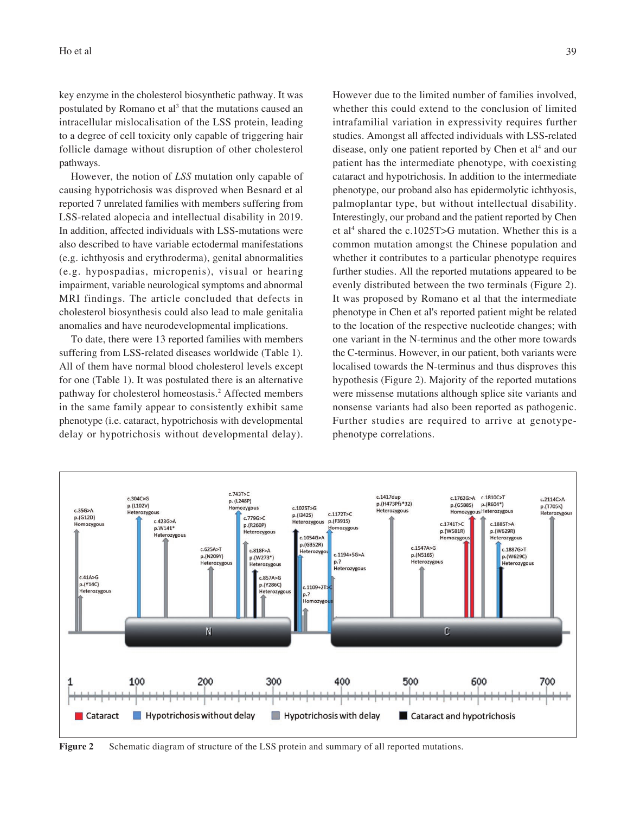key enzyme in the cholesterol biosynthetic pathway. It was postulated by Romano et al<sup>3</sup> that the mutations caused an intracellular mislocalisation of the LSS protein, leading to a degree of cell toxicity only capable of triggering hair follicle damage without disruption of other cholesterol pathways.

However, the notion of *LSS* mutation only capable of causing hypotrichosis was disproved when Besnard et al reported 7 unrelated families with members suffering from LSS-related alopecia and intellectual disability in 2019. In addition, affected individuals with LSS-mutations were also described to have variable ectodermal manifestations (e.g. ichthyosis and erythroderma), genital abnormalities (e.g. hypospadias, micropenis), visual or hearing impairment, variable neurological symptoms and abnormal MRI findings. The article concluded that defects in cholesterol biosynthesis could also lead to male genitalia anomalies and have neurodevelopmental implications.

To date, there were 13 reported families with members suffering from LSS-related diseases worldwide (Table 1). All of them have normal blood cholesterol levels except for one (Table 1). It was postulated there is an alternative pathway for cholesterol homeostasis.<sup>2</sup> Affected members in the same family appear to consistently exhibit same phenotype (i.e. cataract, hypotrichosis with developmental delay or hypotrichosis without developmental delay). However due to the limited number of families involved, whether this could extend to the conclusion of limited intrafamilial variation in expressivity requires further studies. Amongst all affected individuals with LSS-related disease, only one patient reported by Chen et al<sup>4</sup> and our patient has the intermediate phenotype, with coexisting cataract and hypotrichosis. In addition to the intermediate phenotype, our proband also has epidermolytic ichthyosis, palmoplantar type, but without intellectual disability. Interestingly, our proband and the patient reported by Chen et al<sup>4</sup> shared the c.1025T>G mutation. Whether this is a common mutation amongst the Chinese population and whether it contributes to a particular phenotype requires further studies. All the reported mutations appeared to be evenly distributed between the two terminals (Figure 2). It was proposed by Romano et al that the intermediate phenotype in Chen et al's reported patient might be related to the location of the respective nucleotide changes; with one variant in the N-terminus and the other more towards the C-terminus. However, in our patient, both variants were localised towards the N-terminus and thus disproves this hypothesis (Figure 2). Majority of the reported mutations were missense mutations although splice site variants and nonsense variants had also been reported as pathogenic. Further studies are required to arrive at genotypephenotype correlations.



**Figure 2** Schematic diagram of structure of the LSS protein and summary of all reported mutations.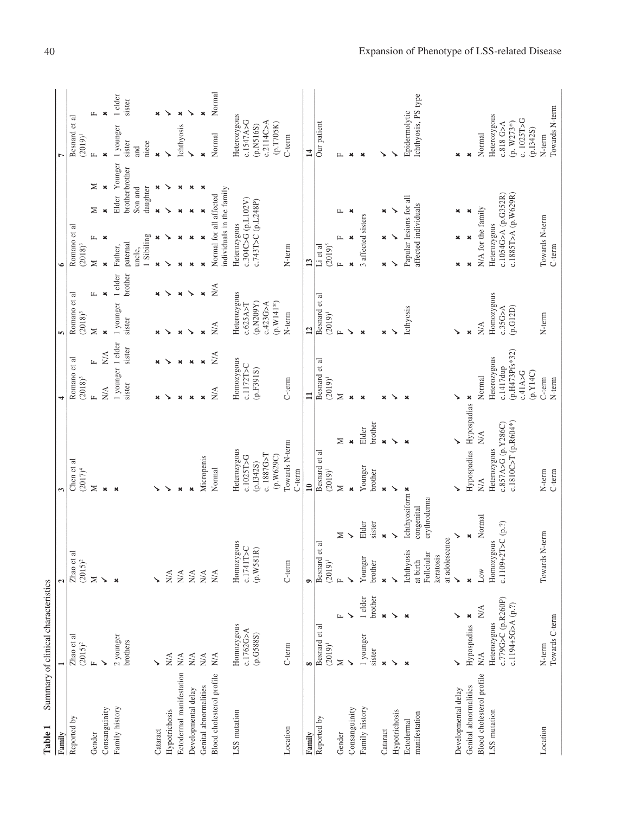| Table 1                     | Summary of clinical characteristics                        |                                                                          |                                               |                                                               |                                                   |                                                                    |                           |                                        |                            |                                                            |                           |                                                            |                                                                      |                   |
|-----------------------------|------------------------------------------------------------|--------------------------------------------------------------------------|-----------------------------------------------|---------------------------------------------------------------|---------------------------------------------------|--------------------------------------------------------------------|---------------------------|----------------------------------------|----------------------------|------------------------------------------------------------|---------------------------|------------------------------------------------------------|----------------------------------------------------------------------|-------------------|
| Family                      |                                                            | $\mathbf{\tilde{c}}$                                                     |                                               | 3                                                             |                                                   | 4                                                                  |                           | in,                                    |                            | $\bullet$                                                  |                           |                                                            |                                                                      |                   |
| Reported by                 | Zhao et al $(2015)^2$                                      | Zhao et al<br>$(2015)^2$                                                 |                                               | Chen et al<br>$(2017)^4$                                      |                                                   | Romano et al<br>$(2018)^3$                                         |                           | Romano et al<br>$(2018)^3$             |                            | Romano et al<br>$(2018)^3$                                 |                           |                                                            | Besnard et al<br>$(2019)^1$                                          |                   |
| Gender                      | $\mathbf{L}$                                               | $\geq$                                                                   |                                               | ⋝                                                             |                                                   | Щ                                                                  | Щ                         | $\geq$                                 | Щ                          | Щ<br>Σ                                                     | ≍                         | ≍                                                          | Щ                                                                    | Щ                 |
| Consanguinity               | ↘                                                          | $\check{}$                                                               |                                               | $\boldsymbol{\mathsf{x}}$                                     |                                                   | $\frac{1}{N}$                                                      | $_{\rm N/A}$              | $\boldsymbol{\mathsf{x}}$              | $\pmb{\times}$             | $\boldsymbol{\mathsf{x}}$<br>$\overline{\mathbf{x}}$       |                           | $\pmb{\times}$                                             |                                                                      | $\mathbf{x}$      |
| Family history              | 2 younger<br>brothers                                      | $\mathbf{x}$                                                             |                                               | $\mathbf{x}$                                                  |                                                   | 1 younger 1 elder<br>sister                                        | sister                    | 1 younger<br>sister                    | brother<br>1 elder         | 1 Sibiling<br>paternal<br>Father,<br>uncle,                |                           | Younger<br>brother brother<br>daughter<br>Son and<br>Elder | 1 younger<br>sister<br>niece<br>and                                  | 1 elder<br>sister |
| Cataract                    |                                                            |                                                                          |                                               |                                                               |                                                   |                                                                    |                           | ×                                      | ×                          | ×                                                          | $\boldsymbol{\mathsf{x}}$ | ×                                                          | $\boldsymbol{\mathsf{x}}$                                            |                   |
| Hypotrichosis               | $\mathbf{N} \mathbf{A}$                                    | $\mathop{\rm N}\nolimits\!mathcal{A}$                                    |                                               |                                                               |                                                   |                                                                    |                           |                                        |                            | ↘                                                          |                           |                                                            |                                                                      |                   |
| Ectodermal manifestation    | $\mathop{\rm NA}\nolimits$                                 | $N\!A$                                                                   |                                               | ×                                                             |                                                   |                                                                    | ×                         | $\mathbf{x}$                           | $\pmb{\times}$             | ×                                                          |                           | ×                                                          | Ichthyosis                                                           | ×                 |
| Developmental delay         | $\mathbf{N} \mathbf{A}$                                    | $N\!A$                                                                   |                                               | $\overline{\mathbf{x}}$                                       |                                                   |                                                                    | $\boldsymbol{\mathsf{x}}$ |                                        | ↘                          | ×                                                          |                           | ×                                                          | ↘                                                                    | ↘                 |
| Genital abnormalities       | $_{\rm N A}$                                               | N/A                                                                      |                                               | Micropenis                                                    |                                                   |                                                                    | $\boldsymbol{\mathsf{x}}$ | ×                                      | ×                          | ×                                                          | ×                         | ×                                                          | ×                                                                    |                   |
| Blood cholesterol profile   | $\mathop{\rm NA}\nolimits$                                 | $_{\rm N/A}$                                                             |                                               | Normal                                                        |                                                   | NA                                                                 | N/A                       | N/A                                    | $\mathop{\rm NA}\nolimits$ | Normal for all affected                                    | individuals in the family |                                                            | Normal                                                               | Normal            |
| LSS mutation                | Homozygous<br>c.1762G>A                                    | Homozygous<br>c.1741T>C                                                  |                                               | Heterozygous<br>c.1025T>G                                     |                                                   | Homozygous<br>c.1172T>C                                            |                           | Heterozygous<br>c.625A > T             |                            | c.304C>G (p.L102V)<br>Heterozygous                         |                           |                                                            | Heterozygous<br>c.1547A>G                                            |                   |
|                             | (p.G588S)                                                  | (p.W581R)                                                                |                                               | c. 1887G>T<br>(p.W629C)<br>(p.1342S)                          |                                                   | (p.F391S)                                                          |                           | (p.N209Y)<br>$(p.W141*)$<br>c.423G > A |                            |                                                            | c.743T>C (p.L248P)        |                                                            | c.2114C > A<br>(p.T705K)<br>(p.N516S)                                |                   |
| Location                    | C-term                                                     | $C$ -term                                                                |                                               | Towards N-term<br>C-term                                      |                                                   | C-term                                                             |                           | N-term                                 |                            | N-term                                                     |                           |                                                            | C-term                                                               |                   |
| Family                      | $\infty$                                                   | $\bullet$                                                                |                                               | $\mathbf{u}$                                                  |                                                   | $\Xi$                                                              |                           | $\overline{12}$                        |                            | $\mathbf{13}$                                              |                           |                                                            | $\overline{1}$                                                       |                   |
| Reported by                 | Besnard et al<br>$(2019)^1$                                | et al<br>Besnard<br>$(2019)^1$                                           |                                               | Besnard et al<br>$(2019)^1$                                   |                                                   | Besnard et al<br>$(2019)^1$                                        |                           | Besnard et al<br>$(2019)^1$            |                            | $(2019)^5$<br>$Li$ et al                                   |                           |                                                            | Our patient                                                          |                   |
| Gender                      | Σ                                                          | $\mathbb{Z}$                                                             | Σ                                             | Σ                                                             | Σ                                                 | Σ                                                                  |                           | $\mathbf{r}$                           |                            | $\mathbf{L}$<br>$\mu$                                      | 工                         |                                                            | Щ                                                                    |                   |
| Consanguinity               |                                                            |                                                                          | ↘                                             | $\boldsymbol{\mathsf{x}}$                                     | $\boldsymbol{\mathsf{x}}$                         | $\boldsymbol{\mathsf{x}}$                                          |                           | ↘                                      |                            | $\boldsymbol{\mathsf{x}}$<br>$\mathbf{x}$                  | ×                         |                                                            | $\mathbf{x}$                                                         |                   |
| Family history              | brother<br>1 elder<br>1 younger<br>sister                  | Younger<br>brother                                                       | Elder<br>sister                               | Younger<br>brother                                            | brother<br>Elder                                  | $\mathbf{x}$                                                       |                           | ×                                      |                            | 3 affected sisters                                         |                           |                                                            | $\mathbf{x}$                                                         |                   |
| Cataract                    | $\pmb{\times}$<br>$\pmb{\times}$                           |                                                                          | $\mathbf{x}$                                  | $\pmb{\times}$                                                | $\pmb{\times}$                                    | ×                                                                  |                           |                                        |                            | ×<br>×                                                     | ×                         |                                                            |                                                                      |                   |
| Hypotrichosis               | ↘<br>↘                                                     |                                                                          | ↘                                             | ↘                                                             | ↘                                                 |                                                                    |                           |                                        |                            | ↘                                                          |                           |                                                            |                                                                      |                   |
| manifestation<br>Ectodermal | $\boldsymbol{\mathsf{x}}$                                  | at adolescence<br>S.<br>Follciular<br>Ichthyosi<br>keratosis<br>at birth | Ichthyosiform *<br>erythroderma<br>congenital |                                                               | $\boldsymbol{\mathsf{x}}$                         |                                                                    |                           | Icthyosis                              |                            | Papular lesions for all<br>affected individuals            |                           |                                                            | lchthyosis, PS type<br>Epidermolytic                                 |                   |
| Developmental delay         |                                                            | ↘                                                                        |                                               |                                                               |                                                   |                                                                    |                           |                                        |                            | ×                                                          | ×                         |                                                            | ×                                                                    |                   |
| Genital abnormalities       | ×<br>Hypospadias                                           | $\boldsymbol{\mathsf{x}}$                                                | $\pmb{\times}$                                |                                                               | Hypospadias Hypospadias *                         |                                                                    |                           | $\mathbf{x}$                           |                            | ×<br>$\pmb{\times}$                                        | ×                         |                                                            | $\pmb{\times}$                                                       |                   |
| Blood cholesterol profile   | N/A<br>$\stackrel{\triangle}{\geq}$                        | Low                                                                      | Normal                                        | N/A                                                           | $\mathop{\rm N}\nolimits\!mathop{\rm A}\nolimits$ | Normal                                                             |                           | N/A                                    |                            | N/A for the family                                         |                           |                                                            | Normal                                                               |                   |
| LSS mutation                | c.779G>C (p.R260P)<br>$c.1194+5G > A(p.?)$<br>Heterozygous | c.1109+2T>C (p.?)<br>Homozygous                                          |                                               | $c.1810C > T (p.R604*)$<br>c.857A>G (p.Y286C)<br>Heterozygous |                                                   | (p.H473Pfs*32)<br>Heterozygous<br>c.1417dup<br>(p.Y14C)<br>c.41A>G |                           | Homozygous<br>(p.G12D)<br>c.35G>A      |                            | c.1885T>A (p.W629R)<br>c.1054G>A (p.G352R)<br>Heterozygous |                           |                                                            | Heterozygous<br>c. 1025T>G<br>$(p. W273*)$<br>c.818 G>A<br>(p.1342S) |                   |
| Location                    | Towards C-term<br>N-term                                   | Towards                                                                  | N-term                                        | $C$ -term<br>N-term                                           |                                                   | C-term<br>N-term                                                   |                           | N-term                                 |                            | Towards N-term<br>$C$ -term                                |                           |                                                            | Towards N-term<br>N-term                                             |                   |